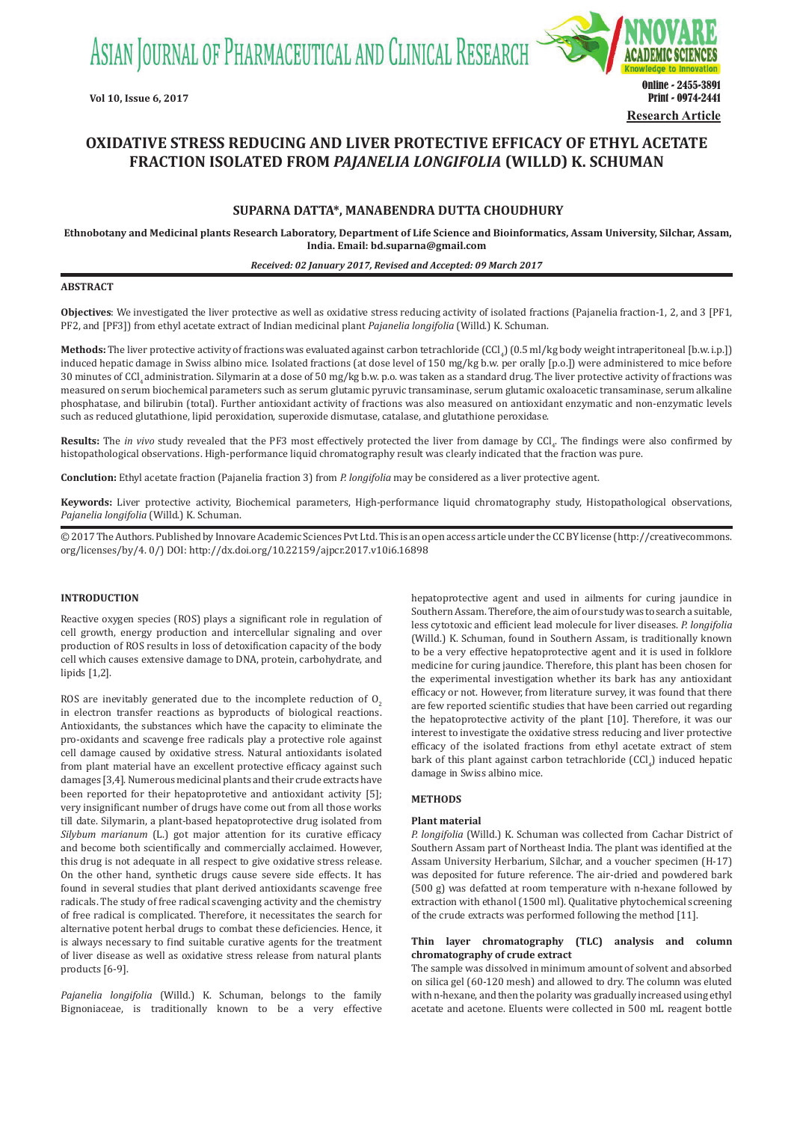ASIAN JOURNAL OF PHARMACEUTICAL AND CLINICAL RESEARCH



# **OXIDATIVE STRESS REDUCING AND LIVER PROTECTIVE EFFICACY OF ETHYL ACETATE FRACTION ISOLATED FROM** *PAJANELIA LONGIFOLIA* **(WILLD) K. SCHUMAN**

# **SUPARNA DATTA\*, MANABENDRA DUTTA CHOUDHURY**

 **Ethnobotany and Medicinal plants Research Laboratory, Department of Life Science and Bioinformatics, Assam University, Silchar, Assam, India. Email: bd.suparna@gmail.com**

#### *Received: 02 January 2017, Revised and Accepted: 09 March 2017*

#### **ABSTRACT**

**Objectives**: We investigated the liver protective as well as oxidative stress reducing activity of isolated fractions (Pajanelia fraction-1, 2, and 3 [PF1, PF2, and [PF3]) from ethyl acetate extract of Indian medicinal plant *Pajanelia longifolia* (Willd.) K. Schuman.

**Methods:** The liver protective activity of fractions was evaluated against carbon tetrachloride (CCl<sub>4</sub>) (0.5 ml/kg body weight intraperitoneal [b.w. i.p.]) induced hepatic damage in Swiss albino mice. Isolated fractions (at dose level of 150 mg/kg b.w. per orally [p.o.]) were administered to mice before 30 minutes of CCl<sub>4</sub> administration. Silymarin at a dose of 50 mg/kg b.w. p.o. was taken as a standard drug. The liver protective activity of fractions was measured on serum biochemical parameters such as serum glutamic pyruvic transaminase, serum glutamic oxaloacetic transaminase, serum alkaline phosphatase, and bilirubin (total). Further antioxidant activity of fractions was also measured on antioxidant enzymatic and non-enzymatic levels such as reduced glutathione, lipid peroxidation, superoxide dismutase, catalase, and glutathione peroxidase.

**Results:** The *in vivo* study revealed that the PF3 most effectively protected the liver from damage by CCl<sub>4</sub>. The findings were also confirmed by histopathological observations. High-performance liquid chromatography result was clearly indicated that the fraction was pure.

**Conclution:** Ethyl acetate fraction (Pajanelia fraction 3) from *P. longifolia* may be considered as a liver protective agent.

**Keywords:** Liver protective activity, Biochemical parameters, High-performance liquid chromatography study, Histopathological observations, *Pajanelia longifolia* (Willd.) K. Schuman.

© 2017 The Authors. Published by Innovare Academic Sciences Pvt Ltd. This is an open access article under the CC BY license (http://creativecommons. org/licenses/by/4. 0/) DOI: http://dx.doi.org/10.22159/ajpcr.2017.v10i6.16898

#### **INTRODUCTION**

Reactive oxygen species (ROS) plays a significant role in regulation of cell growth, energy production and intercellular signaling and over production of ROS results in loss of detoxification capacity of the body cell which causes extensive damage to DNA, protein, carbohydrate, and lipids [1,2].

ROS are inevitably generated due to the incomplete reduction of  $O<sub>2</sub>$ in electron transfer reactions as byproducts of biological reactions. Antioxidants, the substances which have the capacity to eliminate the pro-oxidants and scavenge free radicals play a protective role against cell damage caused by oxidative stress. Natural antioxidants isolated from plant material have an excellent protective efficacy against such damages [3,4]. Numerous medicinal plants and their crude extracts have been reported for their hepatoprotetive and antioxidant activity [5]; very insignificant number of drugs have come out from all those works till date. Silymarin, a plant-based hepatoprotective drug isolated from *Silybum marianum* (L.) got major attention for its curative efficacy and become both scientifically and commercially acclaimed. However, this drug is not adequate in all respect to give oxidative stress release. On the other hand, synthetic drugs cause severe side effects. It has found in several studies that plant derived antioxidants scavenge free radicals. The study of free radical scavenging activity and the chemistry of free radical is complicated. Therefore, it necessitates the search for alternative potent herbal drugs to combat these deficiencies. Hence, it is always necessary to find suitable curative agents for the treatment of liver disease as well as oxidative stress release from natural plants products [6-9].

*Pajanelia longifolia* (Willd.) K. Schuman, belongs to the family Bignoniaceae, is traditionally known to be a very effective hepatoprotective agent and used in ailments for curing jaundice in Southern Assam. Therefore, the aim of our study was to search a suitable, less cytotoxic and efficient lead molecule for liver diseases. *P. longifolia* (Willd.) K. Schuman, found in Southern Assam, is traditionally known to be a very effective hepatoprotective agent and it is used in folklore medicine for curing jaundice. Therefore, this plant has been chosen for the experimental investigation whether its bark has any antioxidant efficacy or not. However, from literature survey, it was found that there are few reported scientific studies that have been carried out regarding the hepatoprotective activity of the plant [10]. Therefore, it was our interest to investigate the oxidative stress reducing and liver protective efficacy of the isolated fractions from ethyl acetate extract of stem bark of this plant against carbon tetrachloride  $\left(\text{CGI}_4\right)$  induced hepatic damage in Swiss albino mice.

#### **METHODS**

#### **Plant material**

*P. longifolia* (Willd.) K. Schuman was collected from Cachar District of Southern Assam part of Northeast India. The plant was identified at the Assam University Herbarium, Silchar, and a voucher specimen (H-17) was deposited for future reference. The air-dried and powdered bark (500 g) was defatted at room temperature with n-hexane followed by extraction with ethanol (1500 ml). Qualitative phytochemical screening of the crude extracts was performed following the method [11].

### **Thin layer chromatography (TLC) analysis and column chromatography of crude extract**

The sample was dissolved in minimum amount of solvent and absorbed on silica gel (60-120 mesh) and allowed to dry. The column was eluted with n-hexane, and then the polarity was gradually increased using ethyl acetate and acetone. Eluents were collected in 500 mL reagent bottle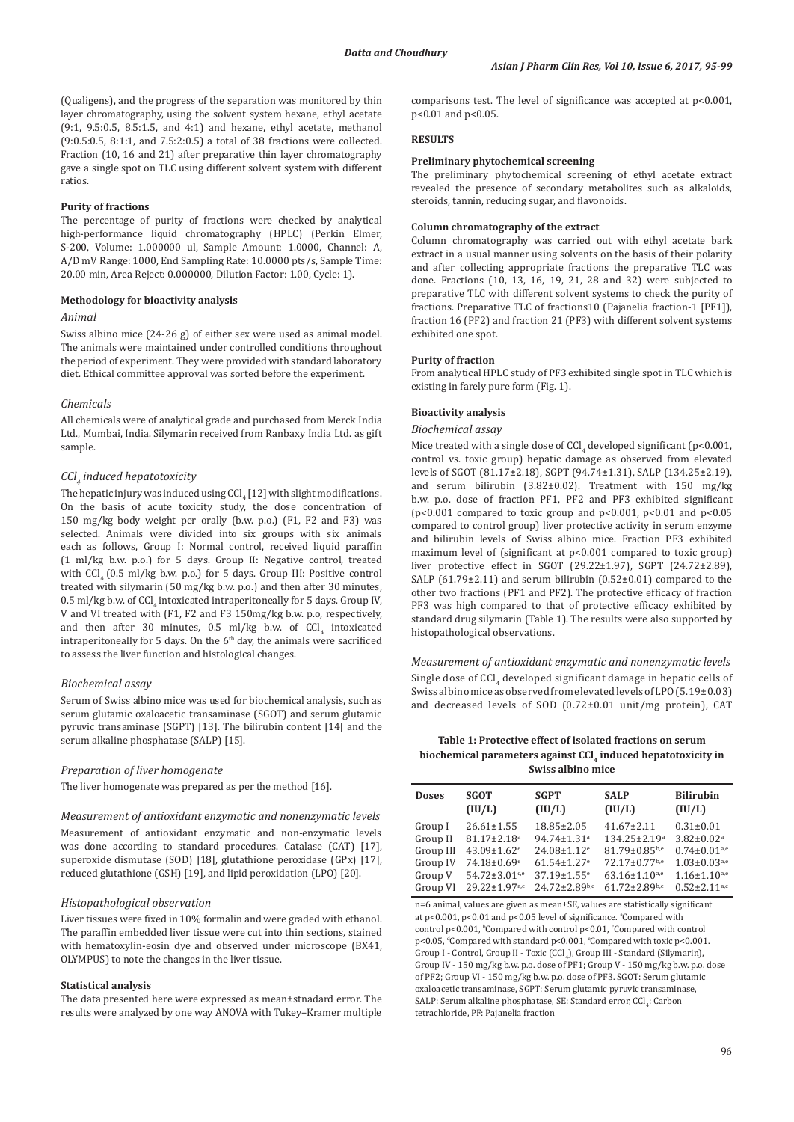(Qualigens), and the progress of the separation was monitored by thin layer chromatography, using the solvent system hexane, ethyl acetate (9:1, 9.5:0.5, 8.5:1.5, and 4:1) and hexane, ethyl acetate, methanol (9:0.5:0.5, 8:1:1, and 7.5:2:0.5) a total of 38 fractions were collected. Fraction (10, 16 and 21) after preparative thin layer chromatography gave a single spot on TLC using different solvent system with different ratios.

## **Purity of fractions**

The percentage of purity of fractions were checked by analytical high-performance liquid chromatography (HPLC) (Perkin Elmer, S-200, Volume: 1.000000 ul, Sample Amount: 1.0000, Channel: A, A/D mV Range: 1000, End Sampling Rate: 10.0000 pts/s, Sample Time: 20.00 min, Area Reject: 0.000000, Dilution Factor: 1.00, Cycle: 1).

## **Methodology for bioactivity analysis**

#### *Animal*

Swiss albino mice (24-26 g) of either sex were used as animal model. The animals were maintained under controlled conditions throughout the period of experiment. They were provided with standard laboratory diet. Ethical committee approval was sorted before the experiment.

## *Chemicals*

All chemicals were of analytical grade and purchased from Merck India Ltd., Mumbai, India. Silymarin received from Ranbaxy India Ltd. as gift sample.

# *CCl4 induced hepatotoxicity*

The hepatic injury was induced using  $\text{CG}_4\left[12\right]$  with slight modifications. On the basis of acute toxicity study, the dose concentration of 150 mg/kg body weight per orally (b.w. p.o.) (F1, F2 and F3) was selected. Animals were divided into six groups with six animals each as follows, Group I: Normal control, received liquid paraffin (1 ml/kg b.w. p.o.) for 5 days. Group II: Negative control, treated with  $CCl<sub>4</sub>$  (0.5 ml/kg b.w. p.o.) for 5 days. Group III: Positive control treated with silymarin (50 mg/kg b.w. p.o.) and then after 30 minutes,  $0.5$  ml/kg b.w. of CCl<sub>4</sub> intoxicated intraperitoneally for 5 days. Group IV, V and VI treated with (F1, F2 and F3 150mg/kg b.w. p.o, respectively, and then after 30 minutes, 0.5 ml/kg b.w. of  $\text{CG}_4$  intoxicated intraperitoneally for 5 days. On the  $6<sup>th</sup>$  day, the animals were sacrificed to assess the liver function and histological changes.

### *Biochemical assay*

Serum of Swiss albino mice was used for biochemical analysis, such as serum glutamic oxaloacetic transaminase (SGOT) and serum glutamic pyruvic transaminase (SGPT) [13]. The bilirubin content [14] and the serum alkaline phosphatase (SALP) [15].

#### *Preparation of liver homogenate*

The liver homogenate was prepared as per the method [16].

*Measurement of antioxidant enzymatic and nonenzymatic levels* Measurement of antioxidant enzymatic and non-enzymatic levels was done according to standard procedures. Catalase (CAT) [17], superoxide dismutase (SOD) [18], glutathione peroxidase (GPx) [17], reduced glutathione (GSH) [19], and lipid peroxidation (LPO) [20].

### *Histopathological observation*

Liver tissues were fixed in 10% formalin and were graded with ethanol. The paraffin embedded liver tissue were cut into thin sections, stained with hematoxylin-eosin dye and observed under microscope (BX41, OLYMPUS) to note the changes in the liver tissue.

## **Statistical analysis**

The data presented here were expressed as mean±stnadard error. The results were analyzed by one way ANOVA with Tukey–Kramer multiple

comparisons test. The level of significance was accepted at p<0.001, p<0.01 and p<0.05.

# **RESULTS**

### **Preliminary phytochemical screening**

The preliminary phytochemical screening of ethyl acetate extract revealed the presence of secondary metabolites such as alkaloids, steroids, tannin, reducing sugar, and flavonoids.

#### **Column chromatography of the extract**

Column chromatography was carried out with ethyl acetate bark extract in a usual manner using solvents on the basis of their polarity and after collecting appropriate fractions the preparative TLC was done. Fractions (10, 13, 16, 19, 21, 28 and 32) were subjected to preparative TLC with different solvent systems to check the purity of fractions. Preparative TLC of fractions10 (Pajanelia fraction-1 [PF1]), fraction 16 (PF2) and fraction 21 (PF3) with different solvent systems exhibited one spot.

#### **Purity of fraction**

From analytical HPLC study of PF3 exhibited single spot in TLC which is existing in farely pure form (Fig. 1).

#### **Bioactivity analysis**

## *Biochemical assay*

Mice treated with a single dose of  $\mathsf{CGL}_4$  developed significant (p<0.001, control vs. toxic group) hepatic damage as observed from elevated levels of SGOT (81.17±2.18), SGPT (94.74±1.31), SALP (134.25±2.19), and serum bilirubin (3.82±0.02). Treatment with 150 mg/kg b.w. p.o. dose of fraction PF1, PF2 and PF3 exhibited significant ( $p<0.001$  compared to toxic group and  $p<0.001$ ,  $p<0.01$  and  $p<0.05$ compared to control group) liver protective activity in serum enzyme and bilirubin levels of Swiss albino mice. Fraction PF3 exhibited maximum level of (significant at p<0.001 compared to toxic group) liver protective effect in SGOT (29.22±1.97), SGPT (24.72±2.89), SALP (61.79 $\pm$ 2.11) and serum bilirubin (0.52 $\pm$ 0.01) compared to the other two fractions (PF1 and PF2). The protective efficacy of fraction PF3 was high compared to that of protective efficacy exhibited by standard drug silymarin (Table 1). The results were also supported by histopathological observations.

*Measurement of antioxidant enzymatic and nonenzymatic levels* Single dose of  $CCl<sub>4</sub>$  developed significant damage in hepatic cells of Swiss albino mice as observed from elevated levels of LPO (5.19±0.03) and decreased levels of SOD (0.72±0.01 unit/mg protein), CAT

## **Table 1: Protective effect of isolated fractions on serum biochemical parameters against CCl4 induced hepatotoxicity in Swiss albino mice**

| <b>Doses</b> | <b>SGOT</b>                   | <b>SGPT</b>                   | <b>SALP</b>                     | <b>Bilirubin</b>               |
|--------------|-------------------------------|-------------------------------|---------------------------------|--------------------------------|
|              | (IU/L)                        | (IU/L)                        | (IU/L)                          | (IU/L)                         |
| Group I      | $26.61 \pm 1.55$              | $18.85 \pm 2.05$              | $41.67 \pm 2.11$                | $0.31 \pm 0.01$                |
| Group II     | 81.17±2.18 <sup>a</sup>       | 94.74±1.31ª                   | $134.25 \pm 2.19$ <sup>a</sup>  | $3.82 \pm 0.02$ <sup>a</sup>   |
| Group III    | $43.09 \pm 1.62$ <sup>e</sup> | 24.08±1.12 <sup>e</sup>       | $81.79 \pm 0.85^{b,e}$          | $0.74 \pm 0.01$ <sup>a,e</sup> |
| Group IV     | 74.18±0.69 <sup>e</sup>       | $61.54 \pm 1.27$ <sup>e</sup> | $72.17 \pm 0.77$ <sup>b,e</sup> | $1.03 \pm 0.03^{a,e}$          |
| Group V      | 54.72±3.01c,e                 | $37.19 \pm 1.55$ <sup>e</sup> | $63.16 \pm 1.10^{a,e}$          | $1.16 \pm 1.10^{a,e}$          |
| Group VI     | 29.22±1.97a,e                 | $24.72 \pm 2.89^{b,e}$        | $61.72 \pm 2.89$ <sub>b,e</sub> | $0.52 \pm 2.11$ <sup>a,e</sup> |

n=6 animal, values are given as mean±SE, values are statistically significant at p<0.001, p<0.01 and p<0.05 level of significance. a Compared with control p<0.001, b Compared with control p<0.01, c Compared with control p<0.05, d Compared with standard p<0.001, e Compared with toxic p<0.001. Group I - Control, Group II - Toxic (CCl<sub>4</sub>), Group III - Standard (Silymarin), Group IV - 150 mg/kg b.w. p.o. dose of PF1; Group V - 150 mg/kg b.w. p.o. dose of PF2; Group VI - 150 mg/kg b.w. p.o. dose of PF3. SGOT: Serum glutamic oxaloacetic transaminase, SGPT: Serum glutamic pyruvic transaminase, SALP: Serum alkaline phosphatase, SE: Standard error, CCl<sub>4</sub>: Carbon tetrachloride, PF: Pajanelia fraction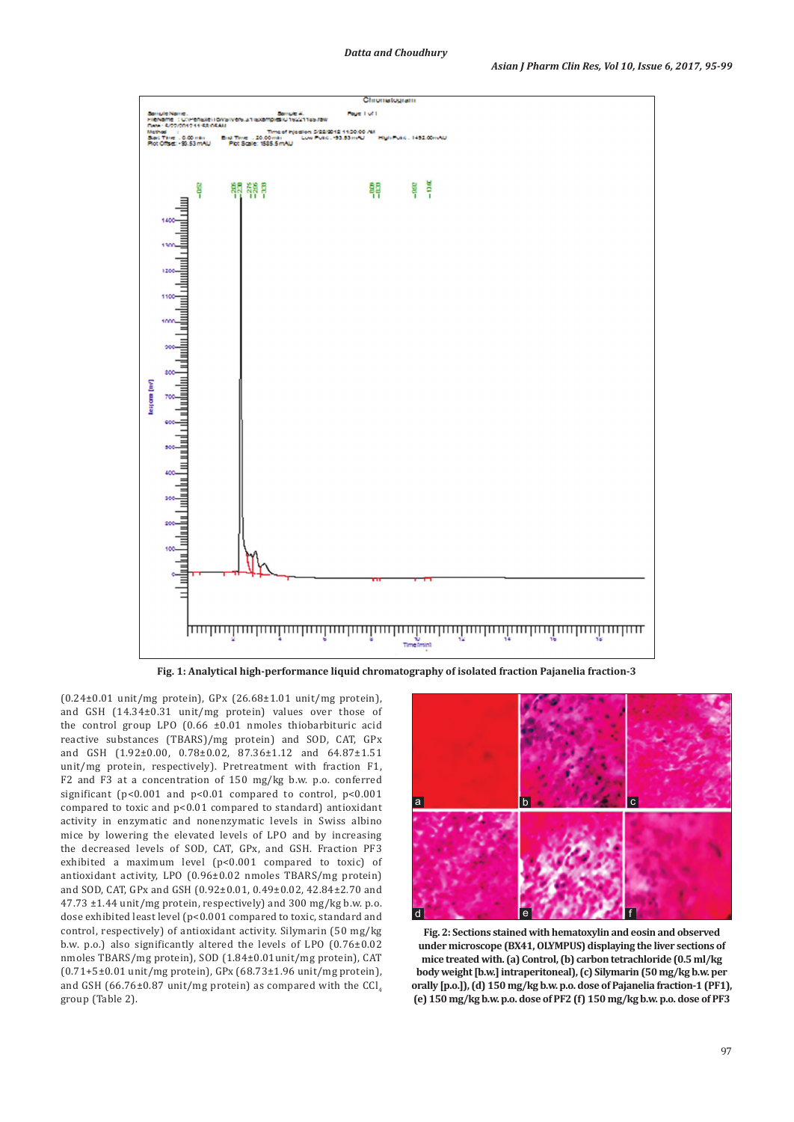

**Fig. 1: Analytical high-performance liquid chromatography of isolated fraction Pajanelia fraction-3**

 $(0.24\pm0.01$  unit/mg protein), GPx  $(26.68\pm1.01$  unit/mg protein), and GSH (14.34±0.31 unit/mg protein) values over those of the control group LPO (0.66 ±0.01 nmoles thiobarbituric acid reactive substances (TBARS)/mg protein) and SOD, CAT, GPx and GSH (1.92±0.00, 0.78±0.02, 87.36±1.12 and 64.87±1.51 unit/mg protein, respectively). Pretreatment with fraction F1, F2 and F3 at a concentration of 150 mg/kg b.w. p.o. conferred significant (p<0.001 and p<0.01 compared to control, p<0.001 compared to toxic and p<0.01 compared to standard) antioxidant activity in enzymatic and nonenzymatic levels in Swiss albino mice by lowering the elevated levels of LPO and by increasing the decreased levels of SOD, CAT, GPx, and GSH. Fraction PF3 exhibited a maximum level (p<0.001 compared to toxic) of antioxidant activity, LPO (0.96±0.02 nmoles TBARS/mg protein) and SOD, CAT, GPx and GSH (0.92±0.01, 0.49±0.02, 42.84±2.70 and 47.73 ±1.44 unit/mg protein, respectively) and 300 mg/kg b.w. p.o. dose exhibited least level (p<0.001 compared to toxic, standard and control, respectively) of antioxidant activity. Silymarin (50 mg/kg b.w. p.o.) also significantly altered the levels of LPO (0.76±0.02 nmoles TBARS/mg protein), SOD (1.84±0.01unit/mg protein), CAT (0.71+5±0.01 unit/mg protein), GPx (68.73±1.96 unit/mg protein), and GSH (66.76±0.87 unit/mg protein) as compared with the  $\text{CCI}_4$ group (Table 2).



**Fig. 2: Sections stained with hematoxylin and eosin and observed under microscope (BX41, OLYMPUS) displaying the liver sections of mice treated with. (a) Control, (b) carbon tetrachloride (0.5 ml/kg body weight [b.w.] intraperitoneal), (c) Silymarin (50 mg/kg b.w. per orally [p.o.]), (d) 150 mg/kg b.w. p.o. dose of Pajanelia fraction-1 (PF1), (e) 150 mg/kg b.w. p.o. dose of PF2 (f) 150 mg/kg b.w. p.o. dose of PF3**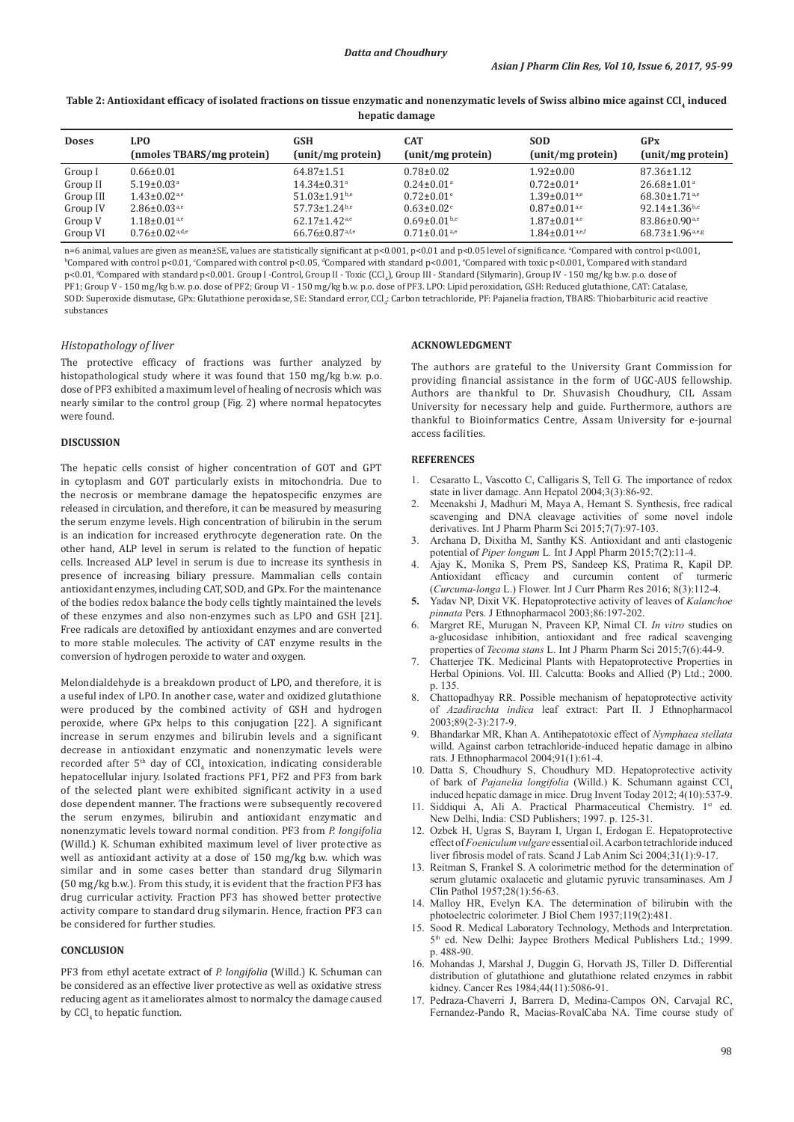| $\sim$       |                                         |                                               |                                 |                                  |                                   |  |  |  |
|--------------|-----------------------------------------|-----------------------------------------------|---------------------------------|----------------------------------|-----------------------------------|--|--|--|
| <b>Doses</b> | <b>LPO</b><br>(nmoles TBARS/mg protein) | GSH<br>(unit/mg protein)                      | <b>CAT</b><br>(unit/mg protein) | <b>SOD</b><br>(unit/mg protein)  | <b>GPx</b><br>(unit/mg protein)   |  |  |  |
| Group I      | $0.66 \pm 0.01$                         | $64.87 \pm 1.51$                              | $0.78 \pm 0.02$                 | $1.92 \pm 0.00$                  | $87.36 \pm 1.12$                  |  |  |  |
| Group II     | $5.19 \pm 0.03$ <sup>a</sup>            | $14.34 \pm 0.31$ <sup>a</sup>                 | $0.24 \pm 0.01$ <sup>a</sup>    | $0.72 \pm 0.01$ <sup>a</sup>     | $26.68 \pm 1.01$ <sup>a</sup>     |  |  |  |
| Group III    | $1.43 \pm 0.02$ <sup>a,e</sup>          | $51.03 \pm 1.91$ <sub>b,e</sub>               | $0.72 \pm 0.01$ <sup>e</sup>    | $1.39 \pm 0.01$ <sup>a,e</sup>   | $68.30 \pm 1.71$ <sup>a,e</sup>   |  |  |  |
| Group IV     | $2.86 \pm 0.03$ <sub>a,e</sub>          | $57.73 \pm 1.24$ <sup>b,e</sup>               | $0.63 \pm 0.02$ <sup>e</sup>    | $0.87 \pm 0.01$ <sup>a,e</sup>   | $92.14 \pm 1.36^{b,e}$            |  |  |  |
| Group V      | $1.18 \pm 0.01$ <sup>a,e</sup>          | $62.17 \pm 1.42$ <sup>a,e</sup>               | $0.69 \pm 0.01^{b,e}$           | $1.87 \pm 0.01$ <sup>a,e</sup>   | $83.86 \pm 0.90$ <sup>a,e</sup>   |  |  |  |
| Group VI     | $0.76 \pm 0.02$ <sup>a,d,e</sup>        | $66.76 \pm 0.87^{\text{a},\text{f},\text{e}}$ | $0.71 \pm 0.01$ <sub>a,e</sub>  | $1.84 \pm 0.01$ <sup>a,e,f</sup> | $68.73 \pm 1.96$ <sub>a,e,g</sub> |  |  |  |

**Table 2: Antioxidant efficacy of isolated fractions on tissue enzymatic and nonenzymatic levels of Swiss albino mice against CCl4 induced hepatic damage**

n=6 animal, values are given as mean±SE, values are statistically significant at p<0.001, p<0.01 and p<0.05 level of significance. <sup>a</sup>Compared with control p<0.001, n=6 animal, values are given as mean±SE, values are statistically significant at p<0.001, p<0.01, and p<0.05 level of significance. "Compared with control p<0.001, "Compared with control p<0.001, "Compared with standard" c p<0.01, <sup>g</sup>Compared with standard p<0.001. Group I -Control, Group II - Toxic (CCl<sub>4</sub>), Group III - Standard (Silymarin), Group IV - 150 mg/kg b.w. p.o. dose of PF1; Group V - 150 mg/kg b.w. p.o. dose of PF2; Group VI - 150 mg/kg b.w. p.o. dose of PF3. LPO: Lipid peroxidation, GSH: Reduced glutathione, CAT: Catalase, SOD: Superoxide dismutase, GPx: Glutathione peroxidase, SE: Standard error, CCl<sub>4</sub>: Carbon tetrachloride, PF: Pajanelia fraction, TBARS: Thiobarbituric acid reactive substances

#### *Histopathology of liver*

The protective efficacy of fractions was further analyzed by histopathological study where it was found that 150 mg/kg b.w. p.o. dose of PF3 exhibited a maximum level of healing of necrosis which was nearly similar to the control group (Fig. 2) where normal hepatocytes were found.

#### **DISCUSSION**

The hepatic cells consist of higher concentration of GOT and GPT in cytoplasm and GOT particularly exists in mitochondria. Due to the necrosis or membrane damage the hepatospecific enzymes are released in circulation, and therefore, it can be measured by measuring the serum enzyme levels. High concentration of bilirubin in the serum is an indication for increased erythrocyte degeneration rate. On the other hand, ALP level in serum is related to the function of hepatic cells. Increased ALP level in serum is due to increase its synthesis in presence of increasing biliary pressure. Mammalian cells contain antioxidant enzymes, including CAT, SOD, and GPx. For the maintenance of the bodies redox balance the body cells tightly maintained the levels of these enzymes and also non-enzymes such as LPO and GSH [21]. Free radicals are detoxified by antioxidant enzymes and are converted to more stable molecules. The activity of CAT enzyme results in the conversion of hydrogen peroxide to water and oxygen.

Melondialdehyde is a breakdown product of LPO, and therefore, it is a useful index of LPO. In another case, water and oxidized glutathione were produced by the combined activity of GSH and hydrogen peroxide, where GPx helps to this conjugation [22]. A significant increase in serum enzymes and bilirubin levels and a significant decrease in antioxidant enzymatic and nonenzymatic levels were recorded after  $5<sup>th</sup>$  day of CCl<sub>4</sub> intoxication, indicating considerable hepatocellular injury. Isolated fractions PF1, PF2 and PF3 from bark of the selected plant were exhibited significant activity in a used dose dependent manner. The fractions were subsequently recovered the serum enzymes, bilirubin and antioxidant enzymatic and nonenzymatic levels toward normal condition. PF3 from *P. longifolia* (Willd.) K. Schuman exhibited maximum level of liver protective as well as antioxidant activity at a dose of 150 mg/kg b.w. which was similar and in some cases better than standard drug Silymarin (50 mg/kg b.w.). From this study, it is evident that the fraction PF3 has drug curricular activity. Fraction PF3 has showed better protective activity compare to standard drug silymarin. Hence, fraction PF3 can be considered for further studies.

#### **CONCLUSION**

PF3 from ethyl acetate extract of *P. longifolia* (Willd.) K. Schuman can be considered as an effective liver protective as well as oxidative stress reducing agent as it ameliorates almost to normalcy the damage caused by  $\text{CG}_4$  to hepatic function.

## **ACKNOWLEDGMENT**

The authors are grateful to the University Grant Commission for providing financial assistance in the form of UGC-AUS fellowship. Authors are thankful to Dr. Shuvasish Choudhury, CIL Assam University for necessary help and guide. Furthermore, authors are thankful to Bioinformatics Centre, Assam University for e-journal access facilities.

## **REFERENCES**

- 1. Cesaratto L, Vascotto C, Calligaris S, Tell G. The importance of redox state in liver damage. Ann Hepatol 2004;3(3):86-92.
- 2. Meenakshi J, Madhuri M, Maya A, Hemant S. Synthesis, free radical scavenging and DNA cleavage activities of some novel indole derivatives. Int J Pharm Pharm Sci 2015;7(7):97-103.
- 3. Archana D, Dixitha M, Santhy KS. Antioxidant and anti clastogenic potential of *Piper longum* L*.* Int J Appl Pharm 2015;7(2):11-4.
- 4. Ajay K, Monika S, Prem PS, Sandeep KS, Pratima R, Kapil DP. Antioxidant efficacy and curcumin content of turmeric (*Curcuma-longa* L.) Flower. Int J Curr Pharm Res 2016; 8(3):112-4.
- **5.** Yadav NP, Dixit VK. Hepatoprotective activity of leaves of *Kalanchoe pinnata* Pers. J Ethnopharmacol 2003;86:197-202.
- 6. Margret RE, Murugan N, Praveen KP, Nimal CI. *In vitro* studies on a-glucosidase inhibition, antioxidant and free radical scavenging properties of *Tecoma stans* L. Int J Pharm Pharm Sci 2015;7(6):44-9.
- 7. Chatterjee TK. Medicinal Plants with Hepatoprotective Properties in Herbal Opinions. Vol. III. Calcutta: Books and Allied (P) Ltd.; 2000. p. 135.
- 8. Chattopadhyay RR. Possible mechanism of hepatoprotective activity of *Azadirachta indica* leaf extract: Part II. J Ethnopharmacol 2003;89(2-3):217-9.
- 9. Bhandarkar MR, Khan A. Antihepatotoxic effect of *Nymphaea stellata* willd. Against carbon tetrachloride-induced hepatic damage in albino rats. J Ethnopharmacol 2004;91(1):61-4.
- 10. Datta S, Choudhury S, Choudhury MD. Hepatoprotective activity of bark of Pajanelia longifolia (Willd.) K. Schumann against CCl. induced hepatic damage in mice. Drug Invent Today 2012; 4(10):537-9.
- 11. Siddiqui A, Ali A. Practical Pharmaceutical Chemistry. 1st ed. New Delhi, India: CSD Publishers; 1997. p. 125-31.
- 12. Ozbek H, Ugras S, Bayram I, Urgan I, Erdogan E. Hepatoprotective effect of *Foeniculum vulgare* essential oil. A carbon tetrachloride induced liver fibrosis model of rats. Scand J Lab Anim Sci 2004;31(1):9-17.
- Reitman S, Frankel S. A colorimetric method for the determination of serum glutamic oxalacetic and glutamic pyruvic transaminases. Am J Clin Pathol 1957;28(1):56-63.
- 14. Malloy HR, Evelyn KA. The determination of bilirubin with the photoelectric colorimeter. J Biol Chem 1937;119(2):481.
- 15. Sood R. Medical Laboratory Technology, Methods and Interpretation. 5th ed. New Delhi: Jaypee Brothers Medical Publishers Ltd.; 1999. p. 488-90.
- 16. Mohandas J, Marshal J, Duggin G, Horvath JS, Tiller D. Differential distribution of glutathione and glutathione related enzymes in rabbit kidney. Cancer Res 1984;44(11):5086-91.
- 17. Pedraza-Chaverri J, Barrera D, Medina-Campos ON, Carvajal RC, Fernandez-Pando R, Macias-RovalCaba NA. Time course study of